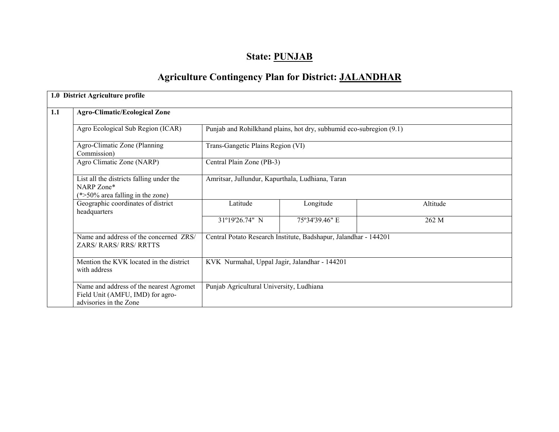# State: PUNJAB

# Agriculture Contingency Plan for District: JALANDHAR

|     | 1.0 District Agriculture profile                                                                      |                                                  |                                                                     |          |  |  |  |  |  |
|-----|-------------------------------------------------------------------------------------------------------|--------------------------------------------------|---------------------------------------------------------------------|----------|--|--|--|--|--|
| 1.1 | <b>Agro-Climatic/Ecological Zone</b>                                                                  |                                                  |                                                                     |          |  |  |  |  |  |
|     | Agro Ecological Sub Region (ICAR)                                                                     |                                                  | Punjab and Rohilkhand plains, hot dry, subhumid eco-subregion (9.1) |          |  |  |  |  |  |
|     | Agro-Climatic Zone (Planning<br>Commission)                                                           |                                                  | Trans-Gangetic Plains Region (VI)                                   |          |  |  |  |  |  |
|     | Agro Climatic Zone (NARP)                                                                             | Central Plain Zone (PB-3)                        |                                                                     |          |  |  |  |  |  |
|     | List all the districts falling under the<br>NARP Zone*<br>$(*>50\%$ area falling in the zone)         | Amritsar, Jullundur, Kapurthala, Ludhiana, Taran |                                                                     |          |  |  |  |  |  |
|     | Geographic coordinates of district<br>headquarters                                                    | Latitude                                         | Longitude                                                           | Altitude |  |  |  |  |  |
|     |                                                                                                       | 31°19'26.74" N                                   | 75°34'39.46" E                                                      | 262 M    |  |  |  |  |  |
|     | Name and address of the concerned ZRS/<br><b>ZARS/RARS/RRS/RRTTS</b>                                  |                                                  | Central Potato Research Institute, Badshapur, Jalandhar - 144201    |          |  |  |  |  |  |
|     | Mention the KVK located in the district<br>with address                                               |                                                  | KVK Nurmahal, Uppal Jagir, Jalandhar - 144201                       |          |  |  |  |  |  |
|     | Name and address of the nearest Agromet<br>Field Unit (AMFU, IMD) for agro-<br>advisories in the Zone | Punjab Agricultural University, Ludhiana         |                                                                     |          |  |  |  |  |  |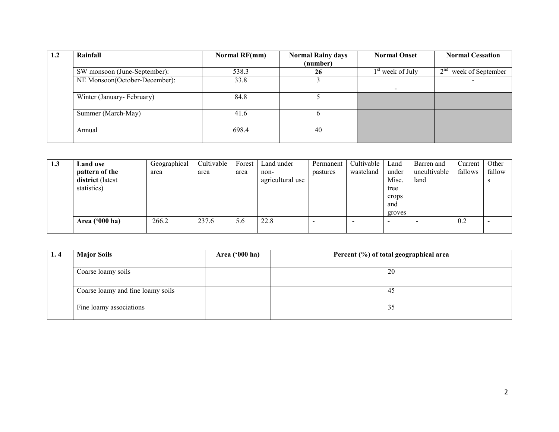| 1.2 | Rainfall                      | Normal RF(mm) | <b>Normal Rainy days</b> | <b>Normal Onset</b> | <b>Normal Cessation</b>          |
|-----|-------------------------------|---------------|--------------------------|---------------------|----------------------------------|
|     |                               |               | (number)                 |                     |                                  |
|     | SW monsoon (June-September):  | 538.3         | 26                       | $1st$ week of July  | $\gamma$ nd<br>week of September |
|     | NE Monsoon(October-December): | 33.8          |                          |                     |                                  |
|     | Winter (January-February)     | 84.8          |                          |                     |                                  |
|     | Summer (March-May)            | 41.6          | <sub>0</sub>             |                     |                                  |
|     | Annual                        | 698.4         | 40                       |                     |                                  |

| 1.3 | Land use<br>pattern of the<br>district (latest<br>statistics) | Geographical<br>area | Cultivable<br>area | Forest<br>area | Land under<br>non-<br>agricultural use | Permanent<br>pastures | Cultivable<br>wasteland | Land<br>under<br>Misc.<br>tree<br>crops<br>and | Barren and<br>uncultivable<br>land | Current<br>fallows | Other<br>fallow |
|-----|---------------------------------------------------------------|----------------------|--------------------|----------------|----------------------------------------|-----------------------|-------------------------|------------------------------------------------|------------------------------------|--------------------|-----------------|
|     |                                                               |                      |                    |                |                                        |                       |                         | groves                                         |                                    |                    |                 |
|     | Area $('000 ha)$                                              | 266.2                | 237.6              | 5.6            | 22.8                                   |                       |                         | $\overline{\phantom{0}}$                       |                                    | 0.2                |                 |

| 1.4 | <b>Major Soils</b>                | Area $('000 ha)$ | Percent (%) of total geographical area |
|-----|-----------------------------------|------------------|----------------------------------------|
|     | Coarse loamy soils                |                  | 20                                     |
|     | Coarse loamy and fine loamy soils |                  | 45                                     |
|     | Fine loamy associations           |                  | 35                                     |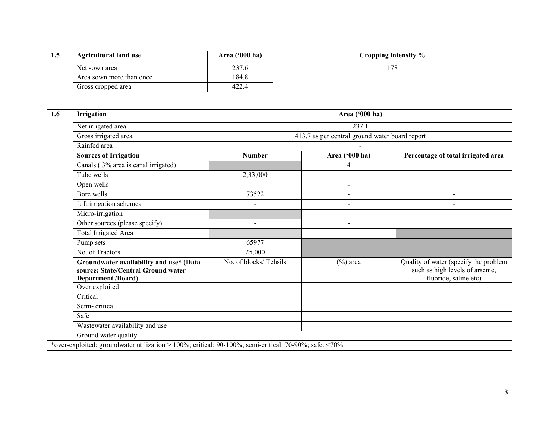| 1.5 | <b>Agricultural land use</b> | Area $(900 \text{ ha})$ | Cropping intensity $\%$ |
|-----|------------------------------|-------------------------|-------------------------|
|     | Net sown area                | 237.6                   | 78                      |
|     | Area sown more than once     | 184.8                   |                         |
|     | Gross cropped area           | 422.4                   |                         |

| Irrigation                                                                                          | Area ('000 ha)                                 |                          |                                                                                                   |  |  |  |  |  |  |
|-----------------------------------------------------------------------------------------------------|------------------------------------------------|--------------------------|---------------------------------------------------------------------------------------------------|--|--|--|--|--|--|
| Net irrigated area                                                                                  | 237.1                                          |                          |                                                                                                   |  |  |  |  |  |  |
| Gross irrigated area                                                                                | 413.7 as per central ground water board report |                          |                                                                                                   |  |  |  |  |  |  |
| Rainfed area                                                                                        |                                                |                          |                                                                                                   |  |  |  |  |  |  |
| <b>Sources of Irrigation</b>                                                                        | <b>Number</b>                                  | Area ('000 ha)           | Percentage of total irrigated area                                                                |  |  |  |  |  |  |
| Canals (3% area is canal irrigated)                                                                 |                                                | 4                        |                                                                                                   |  |  |  |  |  |  |
| Tube wells                                                                                          | 2,33,000                                       |                          |                                                                                                   |  |  |  |  |  |  |
| Open wells                                                                                          |                                                | $\sim$                   |                                                                                                   |  |  |  |  |  |  |
| Bore wells                                                                                          | 73522                                          | $\overline{\phantom{a}}$ | $\blacksquare$                                                                                    |  |  |  |  |  |  |
| Lift irrigation schemes                                                                             | $\sim$                                         | $\blacksquare$           | $\overline{a}$                                                                                    |  |  |  |  |  |  |
| Micro-irrigation                                                                                    |                                                |                          |                                                                                                   |  |  |  |  |  |  |
| Other sources (please specify)                                                                      | $\blacksquare$                                 | $\blacksquare$           |                                                                                                   |  |  |  |  |  |  |
| Total Irrigated Area                                                                                |                                                |                          |                                                                                                   |  |  |  |  |  |  |
| Pump sets                                                                                           | 65977                                          |                          |                                                                                                   |  |  |  |  |  |  |
| No. of Tractors                                                                                     | 25,000                                         |                          |                                                                                                   |  |  |  |  |  |  |
| Groundwater availability and use* (Data<br>source: State/Central Ground water<br>Department /Board) | No. of blocks/Tehsils                          | $(\%)$ area              | Quality of water (specify the problem<br>such as high levels of arsenic,<br>fluoride, saline etc) |  |  |  |  |  |  |
| Over exploited                                                                                      |                                                |                          |                                                                                                   |  |  |  |  |  |  |
| Critical                                                                                            |                                                |                          |                                                                                                   |  |  |  |  |  |  |
| Semi-critical                                                                                       |                                                |                          |                                                                                                   |  |  |  |  |  |  |
| Safe                                                                                                |                                                |                          |                                                                                                   |  |  |  |  |  |  |
| Wastewater availability and use                                                                     |                                                |                          |                                                                                                   |  |  |  |  |  |  |
| Ground water quality                                                                                |                                                |                          |                                                                                                   |  |  |  |  |  |  |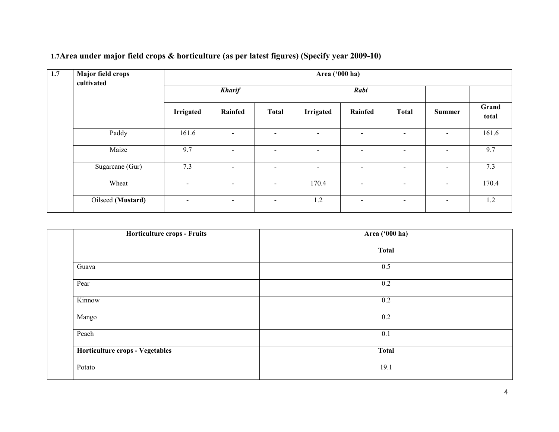| 1.7 | Major field crops<br>cultivated | Area ('000 ha)   |                |                          |                          |                |                              |                          |                |  |  |
|-----|---------------------------------|------------------|----------------|--------------------------|--------------------------|----------------|------------------------------|--------------------------|----------------|--|--|
|     |                                 | <b>Kharif</b>    |                |                          |                          | Rabi           |                              |                          |                |  |  |
|     |                                 | <b>Irrigated</b> | Rainfed        | <b>Total</b>             | Irrigated                | Rainfed        | <b>Total</b>                 | <b>Summer</b>            | Grand<br>total |  |  |
|     | Paddy                           | 161.6            | -              | $\blacksquare$           |                          | $\blacksquare$ | $\overline{\phantom{0}}$     | $\overline{\phantom{0}}$ | 161.6          |  |  |
|     | Maize                           | 9.7              | $\sim$         | $\blacksquare$           | $\overline{\phantom{a}}$ | $\blacksquare$ | $\blacksquare$               | $\blacksquare$           | 9.7            |  |  |
|     | Sugarcane (Gur)                 | 7.3              | $\blacksquare$ | $\overline{\phantom{a}}$ |                          | $\blacksquare$ | $\overline{\phantom{a}}$     | $\overline{\phantom{0}}$ | 7.3            |  |  |
|     | Wheat                           | $\sim$           | $\blacksquare$ | $\sim$                   | 170.4                    | $\blacksquare$ | $\qquad \qquad \blacksquare$ | $\overline{\phantom{a}}$ | 170.4          |  |  |
|     | Oilseed (Mustard)               | $\sim$           | $\blacksquare$ | $\blacksquare$           | 1.2                      | $\blacksquare$ | $\overline{\phantom{0}}$     | $\overline{\phantom{a}}$ | 1.2            |  |  |

### 1.7Area under major field crops & horticulture (as per latest figures) (Specify year 2009-10)

| Area ('000 ha) |  |  |  |  |
|----------------|--|--|--|--|
| <b>Total</b>   |  |  |  |  |
| 0.5            |  |  |  |  |
| 0.2            |  |  |  |  |
| 0.2            |  |  |  |  |
| 0.2            |  |  |  |  |
| 0.1            |  |  |  |  |
| <b>Total</b>   |  |  |  |  |
| 19.1           |  |  |  |  |
|                |  |  |  |  |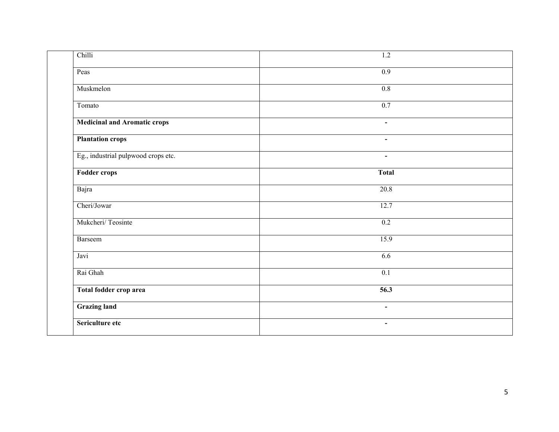| Chilli                              | $\overline{1.2}$ |
|-------------------------------------|------------------|
| Peas                                | 0.9              |
| Muskmelon                           | 0.8              |
| Tomato                              | 0.7              |
| <b>Medicinal and Aromatic crops</b> | $\blacksquare$   |
| <b>Plantation crops</b>             | $\blacksquare$   |
| Eg., industrial pulpwood crops etc. | $\blacksquare$   |
| <b>Fodder crops</b>                 | <b>Total</b>     |
| Bajra                               | 20.8             |
| Cheri/Jowar                         | 12.7             |
| Mukcheri/Teosinte                   | 0.2              |
| Barseem                             | 15.9             |
| Javi                                | 6.6              |
| Rai Ghah                            | $\overline{0.1}$ |
| Total fodder crop area              | 56.3             |
| <b>Grazing land</b>                 | $\blacksquare$   |
| Sericulture etc                     | $\blacksquare$   |
|                                     |                  |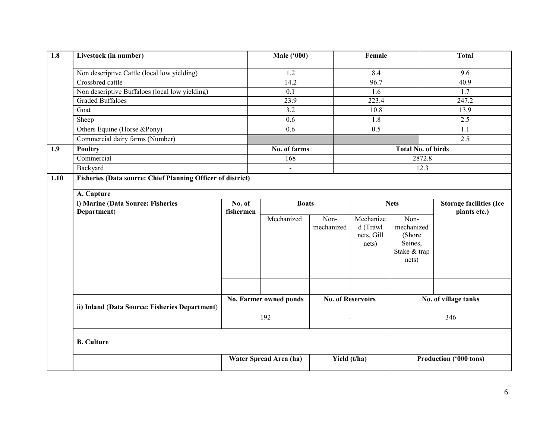| 1.8  | Livestock (in number)                                              |                        | <b>Male ('000)</b>     |                          | Female                                       |                                                                  | <b>Total</b>                   |  |  |  |
|------|--------------------------------------------------------------------|------------------------|------------------------|--------------------------|----------------------------------------------|------------------------------------------------------------------|--------------------------------|--|--|--|
|      | Non descriptive Cattle (local low yielding)                        |                        | 1.2                    |                          | 8.4                                          |                                                                  | 9.6                            |  |  |  |
|      | Crossbred cattle                                                   |                        | 14.2                   |                          | 96.7                                         |                                                                  | 40.9                           |  |  |  |
|      | Non descriptive Buffaloes (local low yielding)                     |                        | 0.1                    |                          | 1.6                                          |                                                                  | 1.7                            |  |  |  |
|      | <b>Graded Buffaloes</b><br>Goat                                    |                        | 23.9                   |                          | 223.4                                        |                                                                  | 247.2                          |  |  |  |
|      |                                                                    |                        | 3.2                    |                          | 10.8                                         |                                                                  | 13.9                           |  |  |  |
|      | Sheep                                                              |                        | 0.6                    |                          | 1.8                                          |                                                                  | 2.5                            |  |  |  |
|      | Others Equine (Horse &Pony)                                        |                        | 0.6                    |                          | $\overline{0.5}$                             |                                                                  | 1.1                            |  |  |  |
|      | Commercial dairy farms (Number)                                    |                        |                        |                          |                                              |                                                                  | 2.5                            |  |  |  |
| 1.9  | <b>Poultry</b>                                                     |                        | No. of farms           |                          |                                              | <b>Total No. of birds</b>                                        |                                |  |  |  |
|      | Commercial                                                         |                        | 168                    |                          |                                              | 2872.8                                                           |                                |  |  |  |
|      | Backyard                                                           |                        | $\Delta$               |                          |                                              | 12.3                                                             |                                |  |  |  |
| 1.10 | <b>Fisheries (Data source: Chief Planning Officer of district)</b> |                        |                        |                          |                                              |                                                                  |                                |  |  |  |
|      | A. Capture                                                         |                        |                        |                          |                                              |                                                                  |                                |  |  |  |
|      | i) Marine (Data Source: Fisheries                                  | No. of                 | <b>Boats</b>           |                          |                                              | <b>Nets</b>                                                      | <b>Storage facilities (Ice</b> |  |  |  |
|      | Department)                                                        | fishermen              |                        |                          |                                              |                                                                  | plants etc.)                   |  |  |  |
|      |                                                                    |                        | Mechanized             | Non-<br>mechanized       | Mechanize<br>d (Trawl<br>nets, Gill<br>nets) | Non-<br>mechanized<br>(Shore<br>Seines,<br>Stake & trap<br>nets) |                                |  |  |  |
|      | ii) Inland (Data Source: Fisheries Department)                     | No. Farmer owned ponds |                        | <b>No. of Reservoirs</b> |                                              | No. of village tanks                                             |                                |  |  |  |
|      |                                                                    |                        | 192                    |                          | $\overline{a}$                               |                                                                  | 346                            |  |  |  |
|      | <b>B.</b> Culture                                                  |                        |                        |                          |                                              |                                                                  |                                |  |  |  |
|      |                                                                    |                        | Water Spread Area (ha) | Yield (t/ha)             |                                              |                                                                  | Production ('000 tons)         |  |  |  |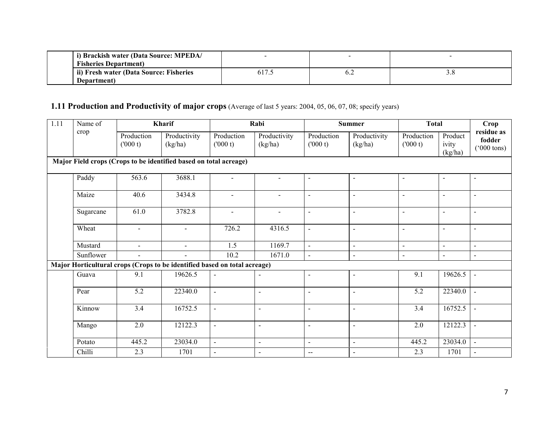| i) Brackish water (Data Source: MPEDA/  |  |  |
|-----------------------------------------|--|--|
| <b>Fisheries Department</b> )           |  |  |
| ii) Fresh water (Data Source: Fisheries |  |  |
| Department)                             |  |  |

#### **1.11 Production and Productivity of major crops** (Average of last 5 years: 2004, 05, 06, 07, 08; specify years)

| $\overline{1.11}$ | Name of<br>Kharif |                       |                                                                           | Rabi                     |                          | <b>Summer</b>            |                          | <b>Total</b>          | Crop                        |                                              |
|-------------------|-------------------|-----------------------|---------------------------------------------------------------------------|--------------------------|--------------------------|--------------------------|--------------------------|-----------------------|-----------------------------|----------------------------------------------|
|                   | crop              | Production<br>(000 t) | Productivity<br>(kg/ha)                                                   | Production<br>(000 t)    | Productivity<br>(kg/ha)  | Production<br>(000 t)    | Productivity<br>(kg/ha)  | Production<br>(000 t) | Product<br>ivity<br>(kg/ha) | residue as<br>fodder<br>$(000 \text{ tons})$ |
|                   |                   |                       | Major Field crops (Crops to be identified based on total acreage)         |                          |                          |                          |                          |                       |                             |                                              |
|                   | Paddy             | 563.6                 | 3688.1                                                                    |                          |                          | $\blacksquare$           | $\overline{a}$           | $\blacksquare$        | $\blacksquare$              | $\blacksquare$                               |
|                   | Maize             | 40.6                  | 3434.8                                                                    | $\blacksquare$           | $\blacksquare$           | $\blacksquare$           | $\overline{\phantom{a}}$ | $\blacksquare$        | $\blacksquare$              | $\blacksquare$                               |
|                   | Sugarcane         | 61.0                  | 3782.8                                                                    | $\sim$                   | $\blacksquare$           | $\omega$                 | $\sim$                   | $\sim$                | $\blacksquare$              | $\blacksquare$                               |
|                   | Wheat             | $\blacksquare$        | $\blacksquare$                                                            | 726.2                    | 4316.5                   | $\blacksquare$           | $\overline{a}$           | $\blacksquare$        | $\blacksquare$              | $\blacksquare$                               |
|                   | Mustard           | $\blacksquare$        | $\blacksquare$                                                            | 1.5                      | 1169.7                   | $\blacksquare$           | $\overline{a}$           | $\blacksquare$        | $\blacksquare$              | $\blacksquare$                               |
|                   | Sunflower         | $\sim$                | $\blacksquare$                                                            | 10.2                     | 1671.0                   | $\blacksquare$           | $\blacksquare$           | $\blacksquare$        | $\blacksquare$              | $\sim$                                       |
|                   |                   |                       | Major Horticultural crops (Crops to be identified based on total acreage) |                          |                          |                          |                          |                       |                             |                                              |
|                   | Guava             | 9.1                   | 19626.5                                                                   | $\overline{a}$           | $\overline{\phantom{a}}$ | $\blacksquare$           | $\blacksquare$           | 9.1                   | 19626.5                     | $\blacksquare$                               |
|                   | Pear              | 5.2                   | 22340.0                                                                   | $\sim$                   | $\overline{a}$           | $\sim$                   | $\overline{\phantom{a}}$ | 5.2                   | 22340.0                     | $\sim$                                       |
|                   | Kinnow            | 3.4                   | 16752.5                                                                   | $\overline{a}$           | $\overline{\phantom{a}}$ | $\overline{\phantom{a}}$ | $\blacksquare$           | 3.4                   | 16752.5                     |                                              |
|                   | Mango             | 2.0                   | 12122.3                                                                   |                          | $\overline{a}$           | $\blacksquare$           | $\overline{a}$           | 2.0                   | 12122.3                     |                                              |
|                   | Potato            | 445.2                 | 23034.0                                                                   | $\overline{\phantom{0}}$ | $\blacksquare$           | $\blacksquare$           | $\blacksquare$           | 445.2                 | 23034.0                     | $\sim$                                       |
|                   | Chilli            | 2.3                   | 1701                                                                      | $\blacksquare$           | $\blacksquare$           | $-\,-$                   | $\blacksquare$           | 2.3                   | 1701                        | $\blacksquare$                               |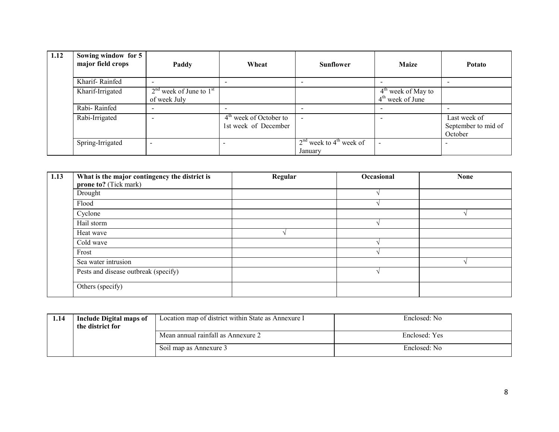| 1.12 | Sowing window for 5<br>major field crops | Paddy                                       | Wheat                                            | <b>Sunflower</b>                                 | <b>Maize</b>                               | <b>Potato</b>                                  |
|------|------------------------------------------|---------------------------------------------|--------------------------------------------------|--------------------------------------------------|--------------------------------------------|------------------------------------------------|
|      | Kharif-Rainfed                           |                                             |                                                  |                                                  |                                            |                                                |
|      | Kharif-Irrigated                         | $2nd$ week of June to $1st$<br>of week July |                                                  |                                                  | $4th$ week of May to<br>$4th$ week of June |                                                |
|      | Rabi-Rainfed                             |                                             |                                                  |                                                  |                                            |                                                |
|      | Rabi-Irrigated                           |                                             | $4th$ week of October to<br>1st week of December | $\overline{\phantom{a}}$                         |                                            | Last week of<br>September to mid of<br>October |
|      | Spring-Irrigated                         |                                             |                                                  | $2nd$ week to 4 <sup>th</sup> week of<br>January |                                            | $\overline{\phantom{0}}$                       |

| $\vert$ 1.13 | What is the major contingency the district is | Regular | Occasional | <b>None</b> |
|--------------|-----------------------------------------------|---------|------------|-------------|
|              | prone to? (Tick mark)                         |         |            |             |
|              | Drought                                       |         |            |             |
|              | Flood                                         |         |            |             |
|              | Cyclone                                       |         |            |             |
|              | Hail storm                                    |         |            |             |
|              | Heat wave                                     |         |            |             |
|              | Cold wave                                     |         |            |             |
|              | Frost                                         |         |            |             |
|              | Sea water intrusion                           |         |            |             |
|              | Pests and disease outbreak (specify)          |         |            |             |
|              | Others (specify)                              |         |            |             |

| 1.14 | <b>Include Digital maps of</b><br>the district for | Location map of district within State as Annexure I | Enclosed: No  |
|------|----------------------------------------------------|-----------------------------------------------------|---------------|
|      |                                                    | Mean annual rainfall as Annexure 2                  | Enclosed: Yes |
|      |                                                    | Soil map as Annexure 3                              | Enclosed: No  |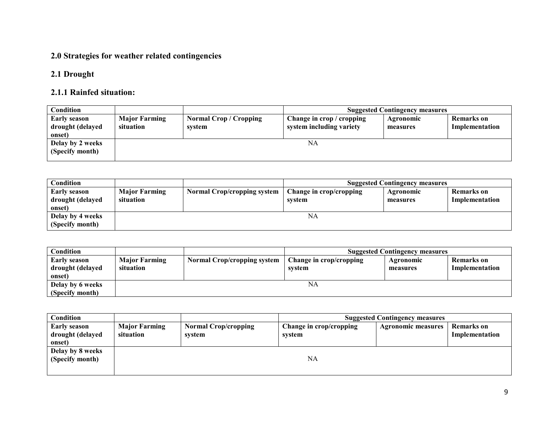### 2.0 Strategies for weather related contingencies

### 2.1 Drought

### 2.1.1 Rainfed situation:

| Condition        |                      |                               |                           | <b>Suggested Contingency measures</b> |                |
|------------------|----------------------|-------------------------------|---------------------------|---------------------------------------|----------------|
| Early season     | <b>Major Farming</b> | <b>Normal Crop / Cropping</b> | Change in crop / cropping | Agronomic                             | Remarks on     |
| drought (delayed | situation            | system                        | system including variety  | measures                              | Implementation |
| onset)           |                      |                               |                           |                                       |                |
| Delay by 2 weeks |                      |                               | NA                        |                                       |                |
| (Specify month)  |                      |                               |                           |                                       |                |
|                  |                      |                               |                           |                                       |                |

| <b>Condition</b>                           |                                   |                             |                                   | <b>Suggested Contingency measures</b> |                              |
|--------------------------------------------|-----------------------------------|-----------------------------|-----------------------------------|---------------------------------------|------------------------------|
| Early season<br>drought (delayed<br>onset) | <b>Major Farming</b><br>situation | Normal Crop/cropping system | Change in crop/cropping<br>system | Agronomic<br>measures                 | Remarks on<br>Implementation |
| Delay by 4 weeks<br>(Specify month)        |                                   |                             | NA                                |                                       |                              |

| Condition                                         |                                   |                                    |                                   | <b>Suggested Contingency measures</b> |                                     |
|---------------------------------------------------|-----------------------------------|------------------------------------|-----------------------------------|---------------------------------------|-------------------------------------|
| <b>Early season</b><br>drought (delayed<br>onset) | <b>Major Farming</b><br>situation | <b>Normal Crop/cropping system</b> | Change in crop/cropping<br>system | Agronomic<br>measures                 | <b>Remarks</b> on<br>Implementation |
| Delay by 6 weeks<br>(Specify month)               |                                   |                                    | NA                                |                                       |                                     |

| Condition                                         |                                   |                                       |                                   | <b>Suggested Contingency measures</b> |                              |
|---------------------------------------------------|-----------------------------------|---------------------------------------|-----------------------------------|---------------------------------------|------------------------------|
| <b>Early season</b><br>drought (delayed<br>onset) | <b>Major Farming</b><br>situation | <b>Normal Crop/cropping</b><br>system | Change in crop/cropping<br>system | <b>Agronomic measures</b>             | Remarks on<br>Implementation |
| Delay by 8 weeks<br>(Specify month)               |                                   |                                       | NA                                |                                       |                              |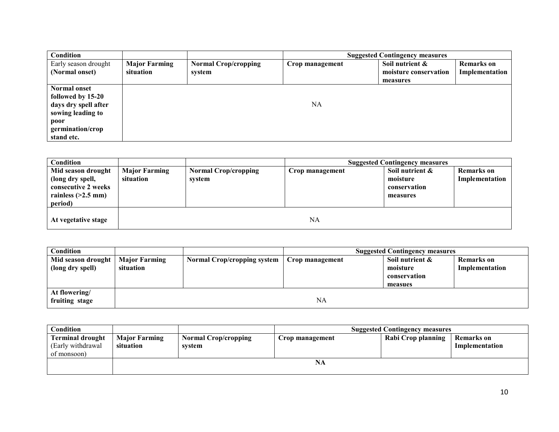| Condition            |                      |                             |                 | <b>Suggested Contingency measures</b> |                   |
|----------------------|----------------------|-----------------------------|-----------------|---------------------------------------|-------------------|
| Early season drought | <b>Major Farming</b> | <b>Normal Crop/cropping</b> | Crop management | Soil nutrient &                       | <b>Remarks</b> on |
| (Normal onset)       | situation            | system                      |                 | moisture conservation                 | Implementation    |
|                      |                      |                             |                 | measures                              |                   |
| Normal onset         |                      |                             |                 |                                       |                   |
| followed by 15-20    |                      |                             |                 |                                       |                   |
| days dry spell after |                      |                             | NA              |                                       |                   |
| sowing leading to    |                      |                             |                 |                                       |                   |
| poor                 |                      |                             |                 |                                       |                   |
| germination/crop     |                      |                             |                 |                                       |                   |
| stand etc.           |                      |                             |                 |                                       |                   |

| <b>Condition</b>                                                                                 |                                   |                                       |                 | <b>Suggested Contingency measures</b>                   |                                     |
|--------------------------------------------------------------------------------------------------|-----------------------------------|---------------------------------------|-----------------|---------------------------------------------------------|-------------------------------------|
| Mid season drought<br>(long dry spell,<br>consecutive 2 weeks<br>rainless $(>2.5$ mm)<br>period) | <b>Major Farming</b><br>situation | <b>Normal Crop/cropping</b><br>system | Crop management | Soil nutrient &<br>moisture<br>conservation<br>measures | <b>Remarks</b> on<br>Implementation |
| At vegetative stage                                                                              |                                   |                                       | <b>NA</b>       |                                                         |                                     |

| Condition                              |                                   |                                    | <b>Suggested Contingency measures</b> |                                                        |                                     |
|----------------------------------------|-----------------------------------|------------------------------------|---------------------------------------|--------------------------------------------------------|-------------------------------------|
| Mid season drought<br>(long dry spell) | <b>Major Farming</b><br>situation | <b>Normal Crop/cropping system</b> | Crop management                       | Soil nutrient &<br>moisture<br>conservation<br>measues | <b>Remarks</b> on<br>Implementation |
| At flowering/<br>fruiting stage        |                                   |                                    | NA                                    |                                                        |                                     |

| Condition                                                    |                                   |                                       | <b>Suggested Contingency measures</b> |                    |                              |  |
|--------------------------------------------------------------|-----------------------------------|---------------------------------------|---------------------------------------|--------------------|------------------------------|--|
| <b>Terminal drought</b><br>(Early withdrawal)<br>of monsoon) | <b>Major Farming</b><br>situation | <b>Normal Crop/cropping</b><br>svstem | Crop management                       | Rabi Crop planning | Remarks on<br>Implementation |  |
|                                                              | NA                                |                                       |                                       |                    |                              |  |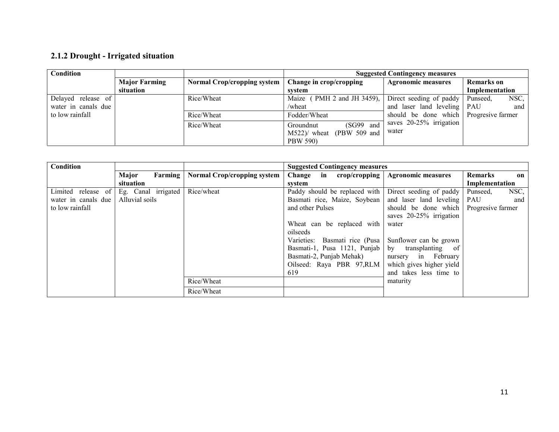## 2.1.2 Drought - Irrigated situation

| <b>Major Farming</b> | <b>Normal Crop/cropping system</b> | Change in crop/cropping                                     | <b>Agronomic measures</b> | <b>Remarks</b> on                                                                                                                                                       |
|----------------------|------------------------------------|-------------------------------------------------------------|---------------------------|-------------------------------------------------------------------------------------------------------------------------------------------------------------------------|
| situation            |                                    | svstem                                                      |                           | Implementation                                                                                                                                                          |
|                      | Rice/Wheat                         | Maize $(PMH 2 and JH 3459)$ ,                               |                           | NSC,<br>Punseed.                                                                                                                                                        |
|                      |                                    | /wheat                                                      |                           | and                                                                                                                                                                     |
|                      | Rice/Wheat                         | Fodder/Wheat                                                |                           |                                                                                                                                                                         |
|                      | Rice/Wheat                         | (SG99 and<br>Groundnut<br>$(PBW 509$ and<br>$M522$ )/ wheat | water                     |                                                                                                                                                                         |
|                      |                                    |                                                             | <b>PBW 590)</b>           | <b>Suggested Contingency measures</b><br>Direct seeding of paddy<br>and laser land leveling   PAU<br>should be done which Progressive farmer<br>saves 20-25% irrigation |

| Condition           |                     |                                    | <b>Suggested Contingency measures</b> |                           |                   |
|---------------------|---------------------|------------------------------------|---------------------------------------|---------------------------|-------------------|
|                     | Major<br>Farming    | <b>Normal Crop/cropping system</b> | Change in crop/cropping               | <b>Agronomic measures</b> | Remarks<br>on     |
|                     | situation           |                                    | system                                |                           | Implementation    |
| Limited release of  | Eg. Canal irrigated | Rice/wheat                         | Paddy should be replaced with         | Direct seeding of paddy   | NSC,<br>Punseed,  |
| water in canals due | Alluvial soils      |                                    | Basmati rice, Maize, Soybean          | and laser land leveling   | PAU<br>and        |
| to low rainfall     |                     |                                    | and other Pulses                      | should be done which      | Progresive farmer |
|                     |                     |                                    |                                       | saves 20-25% irrigation   |                   |
|                     |                     |                                    | Wheat can be replaced with            | water                     |                   |
|                     |                     |                                    | oilseeds                              |                           |                   |
|                     |                     |                                    | Varieties: Basmati rice (Pusa         | Sunflower can be grown    |                   |
|                     |                     |                                    | Basmati-1, Pusa 1121, Punjab          | by<br>transplanting of    |                   |
|                     |                     |                                    | Basmati-2, Punjab Mehak)              | nursery in February       |                   |
|                     |                     |                                    | Oilseed: Raya PBR 97, RLM             | which gives higher yield  |                   |
|                     |                     |                                    | 619                                   | and takes less time to    |                   |
|                     |                     | Rice/Wheat                         |                                       | maturity                  |                   |
|                     |                     | Rice/Wheat                         |                                       |                           |                   |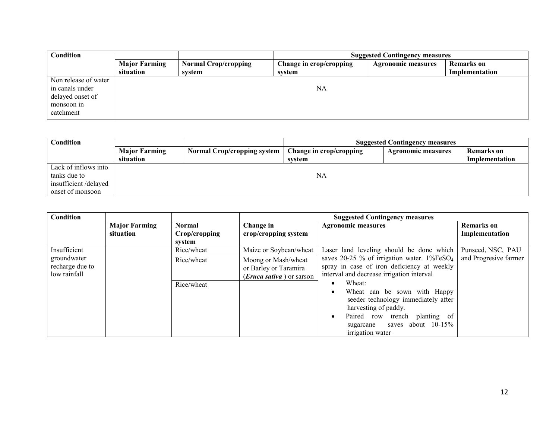| Condition            |                      |                             | <b>Suggested Contingency measures</b> |                           |                   |
|----------------------|----------------------|-----------------------------|---------------------------------------|---------------------------|-------------------|
|                      | <b>Major Farming</b> | <b>Normal Crop/cropping</b> | Change in crop/cropping               | <b>Agronomic measures</b> | <b>Remarks</b> on |
|                      | situation            | svstem                      | system                                |                           | Implementation    |
| Non release of water |                      |                             |                                       |                           |                   |
| in canals under      |                      |                             | NA                                    |                           |                   |
| delayed onset of     |                      |                             |                                       |                           |                   |
| monsoon in           |                      |                             |                                       |                           |                   |
| catchment            |                      |                             |                                       |                           |                   |

| Condition            |                      | <b>Suggested Contingency measures</b> |                         |                           |                   |
|----------------------|----------------------|---------------------------------------|-------------------------|---------------------------|-------------------|
|                      | <b>Major Farming</b> | <b>Normal Crop/cropping system</b>    | Change in crop/cropping | <b>Agronomic measures</b> | <b>Remarks</b> on |
|                      | situation            |                                       | system                  |                           | Implementation    |
| Lack of inflows into |                      |                                       |                         |                           |                   |
| tanks due to         |                      |                                       | NA                      |                           |                   |
| insufficient/delayed |                      |                                       |                         |                           |                   |
| onset of monsoon     |                      |                                       |                         |                           |                   |

| Condition                                      |                      |               | <b>Suggested Contingency measures</b>                                             |                                                                                                                                                                                                                 |                       |
|------------------------------------------------|----------------------|---------------|-----------------------------------------------------------------------------------|-----------------------------------------------------------------------------------------------------------------------------------------------------------------------------------------------------------------|-----------------------|
|                                                | <b>Major Farming</b> | <b>Normal</b> | Change in                                                                         | <b>Agronomic measures</b>                                                                                                                                                                                       | <b>Remarks</b> on     |
|                                                | situation            | Crop/cropping | crop/cropping system                                                              |                                                                                                                                                                                                                 | Implementation        |
|                                                |                      | system        |                                                                                   |                                                                                                                                                                                                                 |                       |
| Insufficient                                   |                      | Rice/wheat    | Maize or Soybean/wheat                                                            | Laser land leveling should be done which                                                                                                                                                                        | Punseed, NSC, PAU     |
| groundwater<br>recharge due to<br>low rainfall |                      | Rice/wheat    | Moong or Mash/wheat<br>or Barley or Taramira<br>( <i>Eruca sativa</i> ) or sarson | saves 20-25 % of irrigation water. $1\%FeSO4$<br>spray in case of iron deficiency at weekly<br>interval and decrease irrigation interval                                                                        | and Progresive farmer |
|                                                |                      | Rice/wheat    |                                                                                   | Wheat:<br>Wheat can be sown with Happy<br>٠<br>seeder technology immediately after<br>harvesting of paddy.<br>Paired row trench<br>planting of<br>$\bullet$<br>sugarcane saves about 10-15%<br>irrigation water |                       |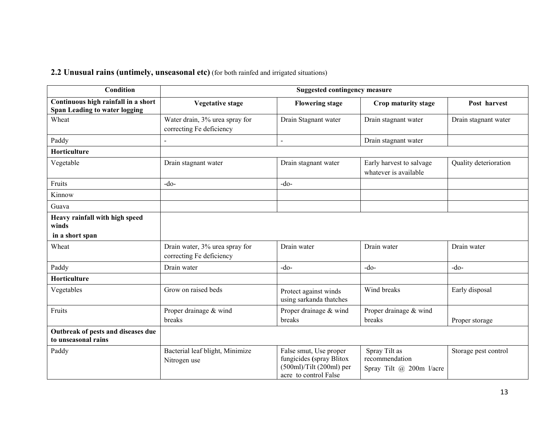**2.2 Unusual rains (untimely, unseasonal etc)** (for both rainfed and irrigated situations)

| <b>Condition</b>                                                            |                                                            | <b>Suggested contingency measure</b>                                                                     |                                                             |                       |
|-----------------------------------------------------------------------------|------------------------------------------------------------|----------------------------------------------------------------------------------------------------------|-------------------------------------------------------------|-----------------------|
| Continuous high rainfall in a short<br><b>Span Leading to water logging</b> | <b>Vegetative stage</b>                                    | <b>Flowering stage</b>                                                                                   | Crop maturity stage                                         | Post harvest          |
| Wheat                                                                       | Water drain, 3% urea spray for<br>correcting Fe deficiency | Drain Stagnant water                                                                                     | Drain stagnant water                                        | Drain stagnant water  |
| Paddy                                                                       | $\overline{\phantom{0}}$                                   | $\blacksquare$                                                                                           | Drain stagnant water                                        |                       |
| Horticulture                                                                |                                                            |                                                                                                          |                                                             |                       |
| Vegetable                                                                   | Drain stagnant water                                       | Drain stagnant water                                                                                     | Early harvest to salvage<br>whatever is available           | Quality deterioration |
| Fruits                                                                      | $-do$ -                                                    | $-do-$                                                                                                   |                                                             |                       |
| Kinnow                                                                      |                                                            |                                                                                                          |                                                             |                       |
| Guava                                                                       |                                                            |                                                                                                          |                                                             |                       |
| Heavy rainfall with high speed<br>winds                                     |                                                            |                                                                                                          |                                                             |                       |
| in a short span                                                             |                                                            |                                                                                                          |                                                             |                       |
| Wheat                                                                       | Drain water, 3% urea spray for<br>correcting Fe deficiency | Drain water                                                                                              | Drain water                                                 | Drain water           |
| Paddy                                                                       | Drain water                                                | $-do$                                                                                                    | $-do$                                                       | $-do-$                |
| Horticulture                                                                |                                                            |                                                                                                          |                                                             |                       |
| Vegetables                                                                  | Grow on raised beds                                        | Protect against winds<br>using sarkanda thatches                                                         | Wind breaks                                                 | Early disposal        |
| Fruits                                                                      | Proper drainage & wind<br>breaks                           | Proper drainage & wind<br>breaks                                                                         | Proper drainage & wind<br>breaks                            | Proper storage        |
| Outbreak of pests and diseases due<br>to unseasonal rains                   |                                                            |                                                                                                          |                                                             |                       |
| Paddy                                                                       | Bacterial leaf blight, Minimize<br>Nitrogen use            | False smut, Use proper<br>fungicides (spray Blitox<br>$(500ml)/Tilt(200ml)$ per<br>acre to control False | Spray Tilt as<br>recommendation<br>Spray Tilt @ 200m l/acre | Storage pest control  |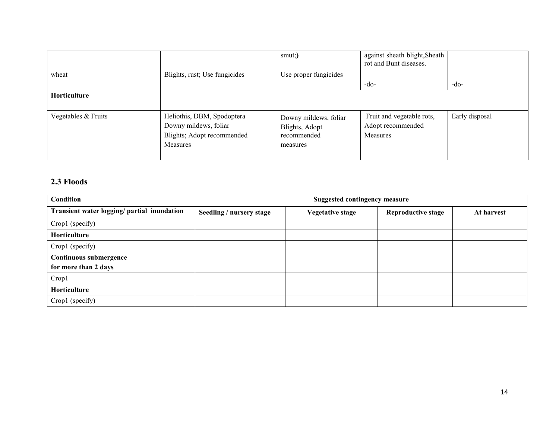|                     |                                                                                                      | smut;                                                              | against sheath blight, Sheath<br>rot and Bunt diseases.           |                |
|---------------------|------------------------------------------------------------------------------------------------------|--------------------------------------------------------------------|-------------------------------------------------------------------|----------------|
| wheat               | Blights, rust; Use fungicides                                                                        | Use proper fungicides                                              | $-do-$                                                            | $-do-$         |
| Horticulture        |                                                                                                      |                                                                    |                                                                   |                |
| Vegetables & Fruits | Heliothis, DBM, Spodoptera<br>Downy mildews, foliar<br>Blights; Adopt recommended<br><b>Measures</b> | Downy mildews, foliar<br>Blights, Adopt<br>recommended<br>measures | Fruit and vegetable rots,<br>Adopt recommended<br><b>Measures</b> | Early disposal |

#### 2.3 Floods

| <b>Condition</b>                            | <b>Suggested contingency measure</b> |                         |                           |            |
|---------------------------------------------|--------------------------------------|-------------------------|---------------------------|------------|
| Transient water logging/ partial inundation | Seedling / nursery stage             | <b>Vegetative stage</b> | <b>Reproductive stage</b> | At harvest |
| Crop1 (specify)                             |                                      |                         |                           |            |
| Horticulture                                |                                      |                         |                           |            |
| Crop1 (specify)                             |                                      |                         |                           |            |
| Continuous submergence                      |                                      |                         |                           |            |
| for more than 2 days                        |                                      |                         |                           |            |
| Crop1                                       |                                      |                         |                           |            |
| Horticulture                                |                                      |                         |                           |            |
| Crop1 (specify)                             |                                      |                         |                           |            |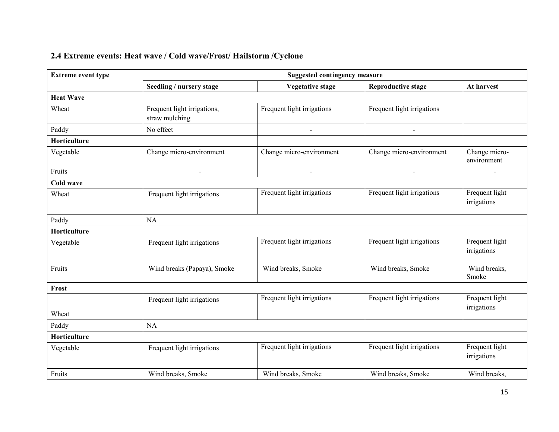## 2.4 Extreme events: Heat wave / Cold wave/Frost/ Hailstorm /Cyclone

| <b>Extreme event type</b> |                                               | <b>Suggested contingency measure</b> |                            |                               |  |  |  |  |
|---------------------------|-----------------------------------------------|--------------------------------------|----------------------------|-------------------------------|--|--|--|--|
|                           | Seedling / nursery stage                      | <b>Vegetative stage</b>              | <b>Reproductive stage</b>  | At harvest                    |  |  |  |  |
| <b>Heat Wave</b>          |                                               |                                      |                            |                               |  |  |  |  |
| Wheat                     | Frequent light irrigations,<br>straw mulching | Frequent light irrigations           | Frequent light irrigations |                               |  |  |  |  |
| Paddy                     | No effect                                     | $\blacksquare$                       | $\blacksquare$             |                               |  |  |  |  |
| Horticulture              |                                               |                                      |                            |                               |  |  |  |  |
| Vegetable                 | Change micro-environment                      | Change micro-environment             | Change micro-environment   | Change micro-<br>environment  |  |  |  |  |
| Fruits                    | $\blacksquare$                                | $\blacksquare$                       | $\blacksquare$             |                               |  |  |  |  |
| Cold wave                 |                                               |                                      |                            |                               |  |  |  |  |
| Wheat                     | Frequent light irrigations                    | Frequent light irrigations           | Frequent light irrigations | Frequent light<br>irrigations |  |  |  |  |
| Paddy                     | <b>NA</b>                                     |                                      |                            |                               |  |  |  |  |
| Horticulture              |                                               |                                      |                            |                               |  |  |  |  |
| Vegetable                 | Frequent light irrigations                    | Frequent light irrigations           | Frequent light irrigations | Frequent light<br>irrigations |  |  |  |  |
| Fruits                    | Wind breaks (Papaya), Smoke                   | Wind breaks, Smoke                   | Wind breaks, Smoke         | Wind breaks,<br>Smoke         |  |  |  |  |
| Frost                     |                                               |                                      |                            |                               |  |  |  |  |
|                           | Frequent light irrigations                    | Frequent light irrigations           | Frequent light irrigations | Frequent light<br>irrigations |  |  |  |  |
| Wheat                     |                                               |                                      |                            |                               |  |  |  |  |
| Paddy                     | NA                                            |                                      |                            |                               |  |  |  |  |
| Horticulture              |                                               |                                      |                            |                               |  |  |  |  |
| Vegetable                 | Frequent light irrigations                    | Frequent light irrigations           | Frequent light irrigations | Frequent light<br>irrigations |  |  |  |  |
| Fruits                    | Wind breaks, Smoke                            | Wind breaks, Smoke                   | Wind breaks, Smoke         | Wind breaks,                  |  |  |  |  |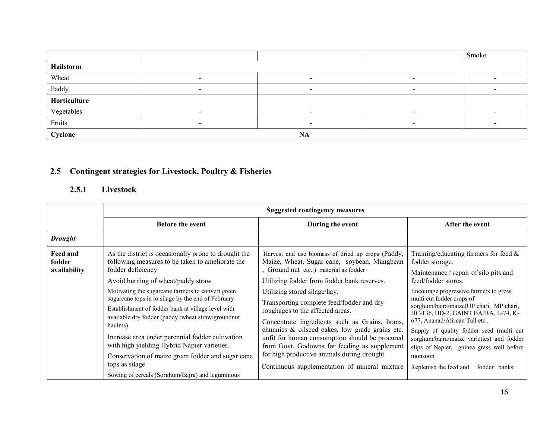|              |                          |                          |                          | Smoke |
|--------------|--------------------------|--------------------------|--------------------------|-------|
| Hailstorm    |                          |                          |                          |       |
| Wheat        | $\sim$                   | $\overline{\phantom{a}}$ | $\,$                     |       |
| Paddy        |                          |                          |                          |       |
| Horticulture |                          |                          |                          |       |
| Vegetables   | $\overline{\phantom{0}}$ | $\overline{\phantom{a}}$ | $\overline{\phantom{a}}$ |       |
| Fruits       |                          |                          |                          |       |
| Cyclone      |                          | <b>NA</b>                |                          |       |

### 2.5 Contingent strategies for Livestock, Poultry & Fisheries

#### 2.5.1 Livestock

|                                           | <b>Suggested contingency measures</b>                                                                                                                                                                                                                                                                                                                                                                                                                                                                                                                                                                                               |                                                                                                                                                                                                                                                                                                                                                                                                                                                                                                                                                                                                                  |                                                                                                                                                                                                                                                                                                                                                                                                                                                                                                                  |  |  |
|-------------------------------------------|-------------------------------------------------------------------------------------------------------------------------------------------------------------------------------------------------------------------------------------------------------------------------------------------------------------------------------------------------------------------------------------------------------------------------------------------------------------------------------------------------------------------------------------------------------------------------------------------------------------------------------------|------------------------------------------------------------------------------------------------------------------------------------------------------------------------------------------------------------------------------------------------------------------------------------------------------------------------------------------------------------------------------------------------------------------------------------------------------------------------------------------------------------------------------------------------------------------------------------------------------------------|------------------------------------------------------------------------------------------------------------------------------------------------------------------------------------------------------------------------------------------------------------------------------------------------------------------------------------------------------------------------------------------------------------------------------------------------------------------------------------------------------------------|--|--|
|                                           | <b>Before the event</b>                                                                                                                                                                                                                                                                                                                                                                                                                                                                                                                                                                                                             | During the event                                                                                                                                                                                                                                                                                                                                                                                                                                                                                                                                                                                                 | After the event                                                                                                                                                                                                                                                                                                                                                                                                                                                                                                  |  |  |
| <b>Drought</b>                            |                                                                                                                                                                                                                                                                                                                                                                                                                                                                                                                                                                                                                                     |                                                                                                                                                                                                                                                                                                                                                                                                                                                                                                                                                                                                                  |                                                                                                                                                                                                                                                                                                                                                                                                                                                                                                                  |  |  |
| <b>Feed and</b><br>fodder<br>availability | As the district is occasionally prone to drought the<br>following measures to be taken to ameliorate the<br>fodder deficiency<br>Avoid burning of wheat/paddy straw<br>Motivating the sugarcane farmers to convert green<br>sugarcane tops in to silage by the end of February<br>Establishment of fodder bank at village level with<br>available dry fodder (paddy /wheat straw/groundnut<br>haulms)<br>Increase area under perennial fodder cultivation<br>with high yielding Hybrid Napier varieties.<br>Conservation of maize green fodder and sugar cane<br>tops as silage<br>Sowing of cereals (Sorghum/Bajra) and leguminous | Harvest and use biomass of dried up crops (Paddy,<br>Maize, Wheat, Sugar cane, soybean, Mungbean<br>, Ground nut etc.,) material as fodder<br>Utilizing fodder from fodder bank reserves.<br>Utilizing stored silage/hay.<br>Transporting complete feed/fodder and dry<br>roughages to the affected areas.<br>Concentrate ingredients such as Grains, brans,<br>chunnies & oilseed cakes, low grade grains etc.<br>unfit for human consumption should be procured<br>from Govt. Godowns for feeding as supplement<br>for high productive animals during drought<br>Continuous supplementation of mineral mixture | Training/educating farmers for feed $\&$<br>fodder storage.<br>Maintenance / repair of silo pits and<br>feed/fodder stores.<br>Encourage progressive farmers to grow<br>multi cut fodder crops of<br>sorghum/bajra/maize(UP chari, MP chari,<br>HC-136, HD-2, GAINT BAJRA, L-74, K-<br>677, Ananad/African Tall etc.,<br>Supply of quality fodder seed (multi cut<br>sorghum/bajra/maize varieties) and fodder<br>slips of Napier, guinea grass well before<br>monsoon<br>Replenish the feed and<br>fodder banks |  |  |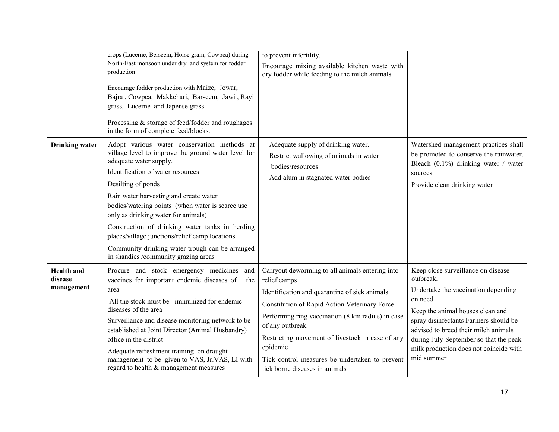|                                            | crops (Lucerne, Berseem, Horse gram, Cowpea) during<br>North-East monsoon under dry land system for fodder<br>production<br>Encourage fodder production with Maize, Jowar,<br>Bajra, Cowpea, Makkchari, Barseem, Jawi, Rayi<br>grass, Lucerne and Japense grass<br>Processing & storage of feed/fodder and roughages<br>in the form of complete feed/blocks.                                                                                                                                                                 | to prevent infertility.<br>Encourage mixing available kitchen waste with<br>dry fodder while feeding to the milch animals                                                                                                                                                                                                                                                                     |                                                                                                                                                                                                                                                                                                                          |
|--------------------------------------------|------------------------------------------------------------------------------------------------------------------------------------------------------------------------------------------------------------------------------------------------------------------------------------------------------------------------------------------------------------------------------------------------------------------------------------------------------------------------------------------------------------------------------|-----------------------------------------------------------------------------------------------------------------------------------------------------------------------------------------------------------------------------------------------------------------------------------------------------------------------------------------------------------------------------------------------|--------------------------------------------------------------------------------------------------------------------------------------------------------------------------------------------------------------------------------------------------------------------------------------------------------------------------|
| <b>Drinking</b> water                      | Adopt various water conservation methods at<br>village level to improve the ground water level for<br>adequate water supply.<br>Identification of water resources<br>Desilting of ponds<br>Rain water harvesting and create water<br>bodies/watering points (when water is scarce use<br>only as drinking water for animals)<br>Construction of drinking water tanks in herding<br>places/village junctions/relief camp locations<br>Community drinking water trough can be arranged<br>in shandies /community grazing areas | Adequate supply of drinking water.<br>Restrict wallowing of animals in water<br>bodies/resources<br>Add alum in stagnated water bodies                                                                                                                                                                                                                                                        | Watershed management practices shall<br>be promoted to conserve the rainwater.<br>Bleach $(0.1\%)$ drinking water / water<br>sources<br>Provide clean drinking water                                                                                                                                                     |
| <b>Health</b> and<br>disease<br>management | Procure and stock emergency medicines<br>and<br>vaccines for important endemic diseases of<br>the<br>area<br>All the stock must be immunized for endemic<br>diseases of the area<br>Surveillance and disease monitoring network to be<br>established at Joint Director (Animal Husbandry)<br>office in the district<br>Adequate refreshment training on draught<br>management to be given to VAS, Jr.VAS, LI with<br>regard to health & management measures                                                                  | Carryout deworming to all animals entering into<br>relief camps<br>Identification and quarantine of sick animals<br>Constitution of Rapid Action Veterinary Force<br>Performing ring vaccination (8 km radius) in case<br>of any outbreak<br>Restricting movement of livestock in case of any<br>epidemic<br>Tick control measures be undertaken to prevent<br>tick borne diseases in animals | Keep close surveillance on disease<br>outbreak.<br>Undertake the vaccination depending<br>on need<br>Keep the animal houses clean and<br>spray disinfectants Farmers should be<br>advised to breed their milch animals<br>during July-September so that the peak<br>milk production does not coincide with<br>mid summer |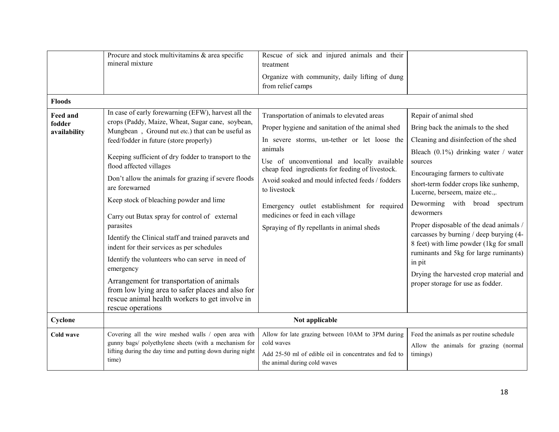| <b>Floods</b>                             | Procure and stock multivitamins & area specific<br>mineral mixture                                                                                                                                                                                                                                                                                                                                                                                                                                                                                                                                                                                                                                                                                                                                                         | Rescue of sick and injured animals and their<br>treatment<br>Organize with community, daily lifting of dung<br>from relief camps                                                                                                                                                                                                                                                                                                                                   |                                                                                                                                                                                                                                                                                                                                                                                                                                                                                                                                                                                             |
|-------------------------------------------|----------------------------------------------------------------------------------------------------------------------------------------------------------------------------------------------------------------------------------------------------------------------------------------------------------------------------------------------------------------------------------------------------------------------------------------------------------------------------------------------------------------------------------------------------------------------------------------------------------------------------------------------------------------------------------------------------------------------------------------------------------------------------------------------------------------------------|--------------------------------------------------------------------------------------------------------------------------------------------------------------------------------------------------------------------------------------------------------------------------------------------------------------------------------------------------------------------------------------------------------------------------------------------------------------------|---------------------------------------------------------------------------------------------------------------------------------------------------------------------------------------------------------------------------------------------------------------------------------------------------------------------------------------------------------------------------------------------------------------------------------------------------------------------------------------------------------------------------------------------------------------------------------------------|
| <b>Feed and</b><br>fodder<br>availability | In case of early forewarning (EFW), harvest all the<br>crops (Paddy, Maize, Wheat, Sugar cane, soybean,<br>Mungbean, Ground nut etc.) that can be useful as<br>feed/fodder in future (store properly)<br>Keeping sufficient of dry fodder to transport to the<br>flood affected villages<br>Don't allow the animals for grazing if severe floods<br>are forewarned<br>Keep stock of bleaching powder and lime<br>Carry out Butax spray for control of external<br>parasites<br>Identify the Clinical staff and trained paravets and<br>indent for their services as per schedules<br>Identify the volunteers who can serve in need of<br>emergency<br>Arrangement for transportation of animals<br>from low lying area to safer places and also for<br>rescue animal health workers to get involve in<br>rescue operations | Transportation of animals to elevated areas<br>Proper hygiene and sanitation of the animal shed<br>In severe storms, un-tether or let loose the<br>animals<br>Use of unconventional and locally available<br>cheap feed ingredients for feeding of livestock.<br>Avoid soaked and mould infected feeds / fodders<br>to livestock<br>Emergency outlet establishment for required<br>medicines or feed in each village<br>Spraying of fly repellants in animal sheds | Repair of animal shed<br>Bring back the animals to the shed<br>Cleaning and disinfection of the shed<br>Bleach $(0.1\%)$ drinking water / water<br>sources<br>Encouraging farmers to cultivate<br>short-term fodder crops like sunhemp,<br>Lucerne, berseem, maize etc.,.<br>Deworming with broad spectrum<br>dewormers<br>Proper disposable of the dead animals /<br>carcasses by burning / deep burying (4-<br>8 feet) with lime powder (1kg for small<br>ruminants and 5kg for large ruminants)<br>in pit<br>Drying the harvested crop material and<br>proper storage for use as fodder. |
| Cyclone                                   |                                                                                                                                                                                                                                                                                                                                                                                                                                                                                                                                                                                                                                                                                                                                                                                                                            | Not applicable                                                                                                                                                                                                                                                                                                                                                                                                                                                     |                                                                                                                                                                                                                                                                                                                                                                                                                                                                                                                                                                                             |
| <b>Cold wave</b>                          | Covering all the wire meshed walls / open area with<br>gunny bags/ polyethylene sheets (with a mechanism for<br>lifting during the day time and putting down during night<br>time)                                                                                                                                                                                                                                                                                                                                                                                                                                                                                                                                                                                                                                         | Allow for late grazing between 10AM to 3PM during<br>cold waves<br>Add 25-50 ml of edible oil in concentrates and fed to<br>the animal during cold waves                                                                                                                                                                                                                                                                                                           | Feed the animals as per routine schedule<br>Allow the animals for grazing (normal<br>timings)                                                                                                                                                                                                                                                                                                                                                                                                                                                                                               |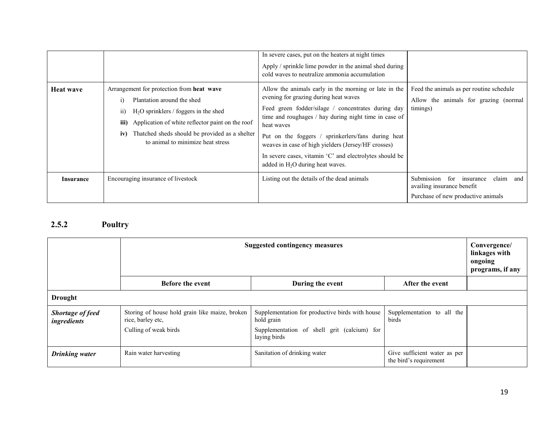|                  |                                                                                                                                                                                                                                                                                                 | In severe cases, put on the heaters at night times<br>Apply / sprinkle lime powder in the animal shed during<br>cold waves to neutralize ammonia accumulation                                                                                                                                                                                                                                                                             |                                                                                                                 |
|------------------|-------------------------------------------------------------------------------------------------------------------------------------------------------------------------------------------------------------------------------------------------------------------------------------------------|-------------------------------------------------------------------------------------------------------------------------------------------------------------------------------------------------------------------------------------------------------------------------------------------------------------------------------------------------------------------------------------------------------------------------------------------|-----------------------------------------------------------------------------------------------------------------|
| <b>Heat wave</b> | Arrangement for protection from heat wave<br>Plantation around the shed<br>$\bar{1}$<br>$H2O$ sprinklers / foggers in the shed<br>11)<br>Application of white reflector paint on the roof<br>iii)<br>Thatched sheds should be provided as a shelter<br>iv)<br>to animal to minimize heat stress | Allow the animals early in the morning or late in the<br>evening for grazing during heat waves<br>Feed green fodder/silage / concentrates during day<br>time and roughages / hay during night time in case of<br>heat waves<br>Put on the foggers / sprinkerlers/fans during heat<br>weaves in case of high yielders (Jersey/HF crosses)<br>In severe cases, vitamin 'C' and electrolytes should be<br>added in $H_2O$ during heat waves. | Feed the animals as per routine schedule<br>Allow the animals for grazing (normal<br>timings)                   |
| <b>Insurance</b> | Encouraging insurance of livestock                                                                                                                                                                                                                                                              | Listing out the details of the dead animals                                                                                                                                                                                                                                                                                                                                                                                               | claim and<br>Submission<br>for<br>insurance<br>availing insurance benefit<br>Purchase of new productive animals |

#### 2.5.2 Poultry

|                                        | <b>Suggested contingency measures</b><br>Convergence/<br>linkages with<br>ongoing<br>programs, if any |                                                                                                                              |                                                        |  |  |
|----------------------------------------|-------------------------------------------------------------------------------------------------------|------------------------------------------------------------------------------------------------------------------------------|--------------------------------------------------------|--|--|
|                                        | <b>Before the event</b>                                                                               | During the event                                                                                                             | After the event                                        |  |  |
| <b>Drought</b>                         |                                                                                                       |                                                                                                                              |                                                        |  |  |
| <b>Shortage of feed</b><br>ingredients | Storing of house hold grain like maize, broken<br>rice, barley etc,<br>Culling of weak birds          | Supplementation for productive birds with house<br>hold grain<br>Supplementation of shell grit (calcium) for<br>laying birds | Supplementation to all the<br>birds                    |  |  |
| <b>Drinking water</b>                  | Rain water harvesting                                                                                 | Sanitation of drinking water                                                                                                 | Give sufficient water as per<br>the bird's requirement |  |  |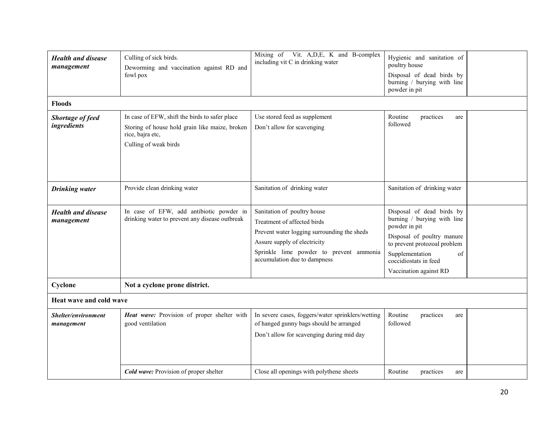| <b>Health and disease</b><br>management | Culling of sick birds.<br>Deworming and vaccination against RD and<br>fowl pox                                                                | Mixing of Vit. A, D, E, K and B-complex<br>including vit C in drinking water                                                                                                                                         | Hygienic and sanitation of<br>poultry house<br>Disposal of dead birds by<br>burning / burying with line<br>powder in pit                                                                                            |  |
|-----------------------------------------|-----------------------------------------------------------------------------------------------------------------------------------------------|----------------------------------------------------------------------------------------------------------------------------------------------------------------------------------------------------------------------|---------------------------------------------------------------------------------------------------------------------------------------------------------------------------------------------------------------------|--|
| <b>Floods</b>                           |                                                                                                                                               |                                                                                                                                                                                                                      |                                                                                                                                                                                                                     |  |
| Shortage of feed<br>ingredients         | In case of EFW, shift the birds to safer place<br>Storing of house hold grain like maize, broken<br>rice, bajra etc,<br>Culling of weak birds | Use stored feed as supplement<br>Don't allow for scavenging                                                                                                                                                          | Routine<br>practices<br>are<br>followed                                                                                                                                                                             |  |
| <b>Drinking</b> water                   | Provide clean drinking water                                                                                                                  | Sanitation of drinking water                                                                                                                                                                                         | Sanitation of drinking water                                                                                                                                                                                        |  |
| <b>Health and disease</b><br>management | In case of EFW, add antibiotic powder in<br>drinking water to prevent any disease outbreak                                                    | Sanitation of poultry house<br>Treatment of affected birds<br>Prevent water logging surrounding the sheds<br>Assure supply of electricity<br>Sprinkle lime powder to prevent ammonia<br>accumulation due to dampness | Disposal of dead birds by<br>burning / burying with line<br>powder in pit<br>Disposal of poultry manure<br>to prevent protozoal problem<br>Supplementation<br>of<br>coccidiostats in feed<br>Vaccination against RD |  |
| Cyclone                                 | Not a cyclone prone district.                                                                                                                 |                                                                                                                                                                                                                      |                                                                                                                                                                                                                     |  |
| Heat wave and cold wave                 |                                                                                                                                               |                                                                                                                                                                                                                      |                                                                                                                                                                                                                     |  |
| Shelter/environment<br>management       | Heat wave: Provision of proper shelter with<br>good ventilation                                                                               | In severe cases, foggers/water sprinklers/wetting<br>of hanged gunny bags should be arranged<br>Don't allow for scavenging during mid day                                                                            | Routine<br>practices<br>are<br>followed                                                                                                                                                                             |  |
|                                         | <b>Cold wave:</b> Provision of proper shelter                                                                                                 | Close all openings with polythene sheets                                                                                                                                                                             | Routine<br>practices<br>are                                                                                                                                                                                         |  |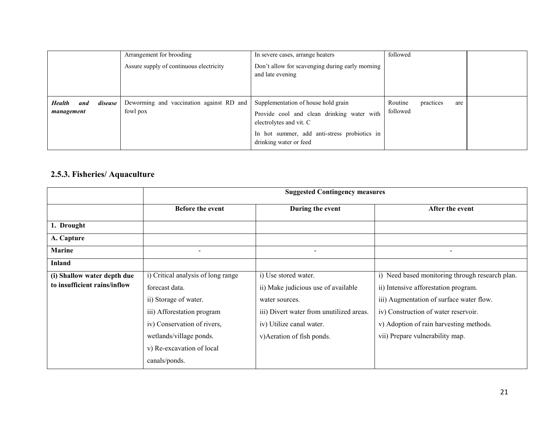|                                                 | Arrangement for brooding                             | In severe cases, arrange heaters                                                                                                                                                       | followed                                |  |
|-------------------------------------------------|------------------------------------------------------|----------------------------------------------------------------------------------------------------------------------------------------------------------------------------------------|-----------------------------------------|--|
|                                                 | Assure supply of continuous electricity              | Don't allow for scavenging during early morning<br>and late evening                                                                                                                    |                                         |  |
| <b>Health</b><br>disease  <br>and<br>management | Deworming and vaccination against RD and<br>fowl pox | Supplementation of house hold grain<br>Provide cool and clean drinking water with<br>electrolytes and vit. C<br>In hot summer, add anti-stress probiotics in<br>drinking water or feed | Routine<br>practices<br>are<br>followed |  |

#### 2.5.3. Fisheries/ Aquaculture

|                              | <b>Suggested Contingency measures</b> |                                          |                                                 |  |
|------------------------------|---------------------------------------|------------------------------------------|-------------------------------------------------|--|
|                              | Before the event                      | During the event                         | After the event                                 |  |
| 1. Drought                   |                                       |                                          |                                                 |  |
| A. Capture                   |                                       |                                          |                                                 |  |
| <b>Marine</b>                |                                       | $\qquad \qquad \blacksquare$             | $\overline{\phantom{a}}$                        |  |
| <b>Inland</b>                |                                       |                                          |                                                 |  |
| (i) Shallow water depth due  | i) Critical analysis of long range    | i) Use stored water.                     | i) Need based monitoring through research plan. |  |
| to insufficient rains/inflow | forecast data.                        | ii) Make judicious use of available      | ii) Intensive afforestation program.            |  |
|                              | ii) Storage of water.                 | water sources.                           | iii) Augmentation of surface water flow.        |  |
|                              | iii) Afforestation program            | iii) Divert water from unutilized areas. | iv) Construction of water reservoir.            |  |
|                              | iv) Conservation of rivers,           | iv) Utilize canal water.                 | v) Adoption of rain harvesting methods.         |  |
|                              | wetlands/village ponds.               | v) Aeration of fish ponds.               | vii) Prepare vulnerability map.                 |  |
|                              | v) Re-excavation of local             |                                          |                                                 |  |
|                              | canals/ponds.                         |                                          |                                                 |  |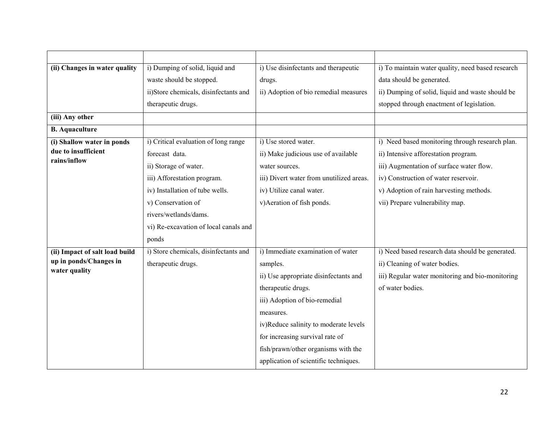| (ii) Changes in water quality       | i) Dumping of solid, liquid and       | i) Use disinfectants and therapeutic     | i) To maintain water quality, need based research |
|-------------------------------------|---------------------------------------|------------------------------------------|---------------------------------------------------|
|                                     | waste should be stopped.              | drugs.                                   | data should be generated.                         |
|                                     | ii)Store chemicals, disinfectants and | ii) Adoption of bio remedial measures    | ii) Dumping of solid, liquid and waste should be  |
|                                     | therapeutic drugs.                    |                                          | stopped through enactment of legislation.         |
| (iii) Any other                     |                                       |                                          |                                                   |
| <b>B.</b> Aquaculture               |                                       |                                          |                                                   |
| (i) Shallow water in ponds          | i) Critical evaluation of long range  | i) Use stored water.                     | i) Need based monitoring through research plan.   |
| due to insufficient<br>rains/inflow | forecast data.                        | ii) Make judicious use of available      | ii) Intensive afforestation program.              |
|                                     | ii) Storage of water.                 | water sources.                           | iii) Augmentation of surface water flow.          |
|                                     | iii) Afforestation program.           | iii) Divert water from unutilized areas. | iv) Construction of water reservoir.              |
|                                     | iv) Installation of tube wells.       | iv) Utilize canal water.                 | v) Adoption of rain harvesting methods.           |
|                                     | v) Conservation of                    | v) Aeration of fish ponds.               | vii) Prepare vulnerability map.                   |
|                                     | rivers/wetlands/dams.                 |                                          |                                                   |
|                                     | vi) Re-excavation of local canals and |                                          |                                                   |
|                                     | ponds                                 |                                          |                                                   |
| (ii) Impact of salt load build      | i) Store chemicals, disinfectants and | i) Immediate examination of water        | i) Need based research data should be generated.  |
| up in ponds/Changes in              | therapeutic drugs.                    | samples.                                 | ii) Cleaning of water bodies.                     |
| water quality                       |                                       | ii) Use appropriate disinfectants and    | iii) Regular water monitoring and bio-monitoring  |
|                                     |                                       | therapeutic drugs.                       | of water bodies.                                  |
|                                     |                                       | iii) Adoption of bio-remedial            |                                                   |
|                                     |                                       | measures.                                |                                                   |
|                                     |                                       | iv)Reduce salinity to moderate levels    |                                                   |
|                                     |                                       | for increasing survival rate of          |                                                   |
|                                     |                                       | fish/prawn/other organisms with the      |                                                   |
|                                     |                                       | application of scientific techniques.    |                                                   |
|                                     |                                       |                                          |                                                   |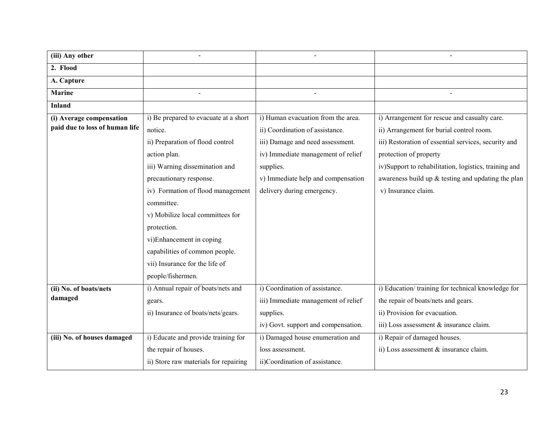| (iii) Any other                |                                       |                                     |                                                       |
|--------------------------------|---------------------------------------|-------------------------------------|-------------------------------------------------------|
| 2. Flood                       |                                       |                                     |                                                       |
| A. Capture                     |                                       |                                     |                                                       |
| <b>Marine</b>                  |                                       |                                     |                                                       |
| <b>Inland</b>                  |                                       |                                     |                                                       |
| (i) Average compensation       | i) Be prepared to evacuate at a short | i) Human evacuation from the area.  | i) Arrangement for rescue and casualty care.          |
| paid due to loss of human life | notice.                               | ii) Coordination of assistance.     | ii) Arrangement for burial control room.              |
|                                | ii) Preparation of flood control      | iii) Damage and need assessment.    | iii) Restoration of essential services, security and  |
|                                | action plan.                          | iv) Immediate management of relief  | protection of property                                |
|                                | iii) Warning dissemination and        | supplies.                           | iv)Support to rehabilitation, logistics, training and |
|                                | precautionary response.               | v) Immediate help and compensation  | awareness build up & testing and updating the plan    |
|                                | iv) Formation of flood management     | delivery during emergency.          | v) Insurance claim.                                   |
|                                | committee.                            |                                     |                                                       |
|                                | v) Mobilize local committees for      |                                     |                                                       |
|                                | protection.                           |                                     |                                                       |
|                                | vi)Enhancement in coping              |                                     |                                                       |
|                                | capabilities of common people.        |                                     |                                                       |
|                                | vii) Insurance for the life of        |                                     |                                                       |
|                                | people/fishermen.                     |                                     |                                                       |
| (ii) No. of boats/nets         | i) Annual repair of boats/nets and    | i) Coordination of assistance.      | i) Education/training for technical knowledge for     |
| damaged                        | gears.                                | iii) Immediate management of relief | the repair of boats/nets and gears.                   |
|                                | ii) Insurance of boats/nets/gears.    | supplies.                           | ii) Provision for evacuation.                         |
|                                |                                       | iv) Govt. support and compensation. | iii) Loss assessment & insurance claim.               |
| (iii) No. of houses damaged    | i) Educate and provide training for   | i) Damaged house enumeration and    | i) Repair of damaged houses.                          |
|                                | the repair of houses.                 | loss assessment.                    | ii) Loss assessment & insurance claim.                |
|                                | ii) Store raw materials for repairing | ii)Coordination of assistance.      |                                                       |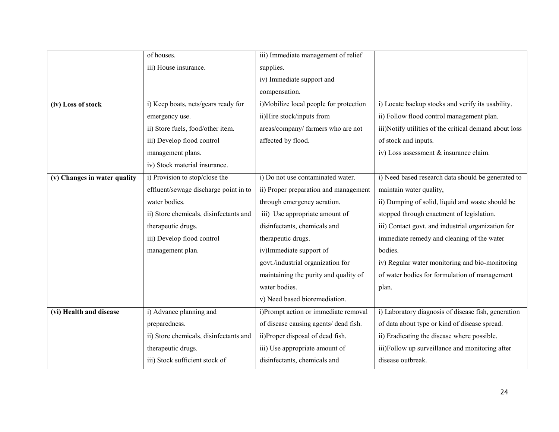|                              | of houses.                             | iii) Immediate management of relief    |                                                        |
|------------------------------|----------------------------------------|----------------------------------------|--------------------------------------------------------|
|                              | iii) House insurance.                  | supplies.                              |                                                        |
|                              |                                        | iv) Immediate support and              |                                                        |
|                              |                                        | compensation.                          |                                                        |
| (iv) Loss of stock           | i) Keep boats, nets/gears ready for    | i)Mobilize local people for protection | i) Locate backup stocks and verify its usability.      |
|                              | emergency use.                         | ii)Hire stock/inputs from              | ii) Follow flood control management plan.              |
|                              | ii) Store fuels, food/other item.      | areas/company/ farmers who are not     | iii)Notify utilities of the critical demand about loss |
|                              | iii) Develop flood control             | affected by flood.                     | of stock and inputs.                                   |
|                              | management plans.                      |                                        | iv) Loss assessment & insurance claim.                 |
|                              | iv) Stock material insurance.          |                                        |                                                        |
| (v) Changes in water quality | i) Provision to stop/close the         | i) Do not use contaminated water.      | i) Need based research data should be generated to     |
|                              | effluent/sewage discharge point in to  | ii) Proper preparation and management  | maintain water quality,                                |
|                              | water bodies.                          | through emergency aeration.            | ii) Dumping of solid, liquid and waste should be       |
|                              | ii) Store chemicals, disinfectants and | iii) Use appropriate amount of         | stopped through enactment of legislation.              |
|                              | therapeutic drugs.                     | disinfectants, chemicals and           | iii) Contact govt. and industrial organization for     |
|                              | iii) Develop flood control             | therapeutic drugs.                     | immediate remedy and cleaning of the water             |
|                              | management plan.                       | iv)Immediate support of                | bodies.                                                |
|                              |                                        | govt./industrial organization for      | iv) Regular water monitoring and bio-monitoring        |
|                              |                                        | maintaining the purity and quality of  | of water bodies for formulation of management          |
|                              |                                        | water bodies.                          | plan.                                                  |
|                              |                                        | v) Need based bioremediation.          |                                                        |
| (vi) Health and disease      | i) Advance planning and                | i)Prompt action or immediate removal   | i) Laboratory diagnosis of disease fish, generation    |
|                              | preparedness.                          | of disease causing agents/ dead fish.  | of data about type or kind of disease spread.          |
|                              | ii) Store chemicals, disinfectants and | ii)Proper disposal of dead fish.       | ii) Eradicating the disease where possible.            |
|                              | therapeutic drugs.                     | iii) Use appropriate amount of         | iii)Follow up surveillance and monitoring after        |
|                              | iii) Stock sufficient stock of         | disinfectants, chemicals and           | disease outbreak.                                      |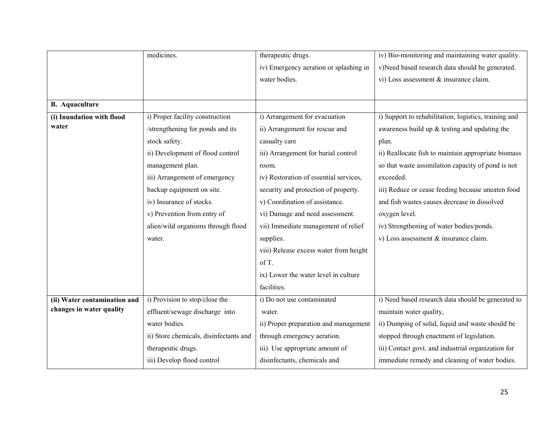|                              | medicines.                             | therapeutic drugs.                     | iv) Bio-monitoring and maintaining water quality.     |
|------------------------------|----------------------------------------|----------------------------------------|-------------------------------------------------------|
|                              |                                        | iv) Emergency aeration or splashing in | v)Need based research data should be generated.       |
|                              |                                        | water bodies.                          | vi) Loss assessment & insurance claim.                |
|                              |                                        |                                        |                                                       |
| <b>B.</b> Aquaculture        |                                        |                                        |                                                       |
| (i) Inundation with flood    | i) Proper facility construction        | i) Arrangement for evacuation          | i) Support to rehabilitation, logistics, training and |
| water                        | /strengthening for ponds and its       | ii) Arrangement for rescue and         | awareness build up $&$ testing and updating the       |
|                              | stock safety.                          | casualty care                          | plan.                                                 |
|                              | ii) Development of flood control       | iii) Arrangement for burial control    | ii) Reallocate fish to maintain appropriate biomass   |
|                              | management plan.                       | room.                                  | so that waste assimilation capacity of pond is not    |
|                              | iii) Arrangement of emergency          | iv) Restoration of essential services, | exceeded.                                             |
|                              | backup equipment on site.              | security and protection of property.   | iii) Reduce or cease feeding because uneaten food     |
|                              | iv) Insurance of stocks.               | v) Coordination of assistance.         | and fish wastes causes decrease in dissolved          |
|                              | v) Prevention from entry of            | vi) Damage and need assessment.        | oxygen level.                                         |
|                              | alien/wild organisms through flood     | vii) Immediate management of relief    | iv) Strengthening of water bodies/ponds.              |
|                              | water.                                 | supplies.                              | v) Loss assessment & insurance claim.                 |
|                              |                                        | viii) Release excess water from height |                                                       |
|                              |                                        | of T.                                  |                                                       |
|                              |                                        | ix) Lower the water level in culture   |                                                       |
|                              |                                        | facilities.                            |                                                       |
| (ii) Water contamination and | i) Provision to stop/close the         | i) Do not use contaminated             | i) Need based research data should be generated to    |
| changes in water quality     | effluent/sewage discharge into         | water.                                 | maintain water quality,                               |
|                              | water bodies.                          | ii) Proper preparation and management  | ii) Dumping of solid, liquid and waste should be      |
|                              | ii) Store chemicals, disinfectants and | through emergency aeration.            | stopped through enactment of legislation.             |
|                              | therapeutic drugs.                     | iii) Use appropriate amount of         | iii) Contact govt. and industrial organization for    |
|                              | iii) Develop flood control             | disinfectants, chemicals and           | immediate remedy and cleaning of water bodies.        |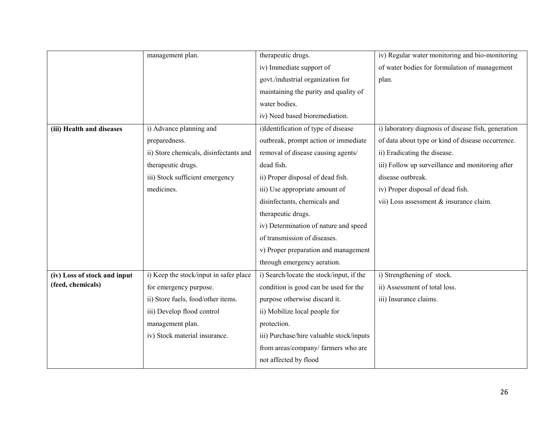|                              | management plan.                       | therapeutic drugs.                       | iv) Regular water monitoring and bio-monitoring     |
|------------------------------|----------------------------------------|------------------------------------------|-----------------------------------------------------|
|                              |                                        | iv) Immediate support of                 | of water bodies for formulation of management       |
|                              |                                        | govt./industrial organization for        | plan.                                               |
|                              |                                        | maintaining the purity and quality of    |                                                     |
|                              |                                        | water bodies.                            |                                                     |
|                              |                                        | iv) Need based bioremediation.           |                                                     |
| (iii) Health and diseases    | i) Advance planning and                | i)Identification of type of disease      | i) laboratory diagnosis of disease fish, generation |
|                              | preparedness.                          | outbreak, prompt action or immediate     | of data about type or kind of disease occurrence.   |
|                              | ii) Store chemicals, disinfectants and | removal of disease causing agents/       | ii) Eradicating the disease.                        |
|                              | therapeutic drugs.                     | dead fish.                               | iii) Follow up surveillance and monitoring after    |
|                              | iii) Stock sufficient emergency        | ii) Proper disposal of dead fish.        | disease outbreak.                                   |
|                              | medicines.                             | iii) Use appropriate amount of           | iv) Proper disposal of dead fish.                   |
|                              |                                        | disinfectants, chemicals and             | vii) Loss assessment & insurance claim.             |
|                              |                                        | therapeutic drugs.                       |                                                     |
|                              |                                        | iv) Determination of nature and speed    |                                                     |
|                              |                                        | of transmission of diseases.             |                                                     |
|                              |                                        | v) Proper preparation and management     |                                                     |
|                              |                                        | through emergency aeration.              |                                                     |
| (iv) Loss of stock and input | i) Keep the stock/input in safer place | i) Search/locate the stock/input, if the | i) Strengthening of stock.                          |
| (feed, chemicals)            | for emergency purpose.                 | condition is good can be used for the    | ii) Assessment of total loss.                       |
|                              | ii) Store fuels, food/other items.     | purpose otherwise discard it.            | iii) Insurance claims.                              |
|                              | iii) Develop flood control             | ii) Mobilize local people for            |                                                     |
|                              | management plan.                       | protection.                              |                                                     |
|                              | iv) Stock material insurance.          | iii) Purchase/hire valuable stock/inputs |                                                     |
|                              |                                        | from areas/company/ farmers who are      |                                                     |
|                              |                                        | not affected by flood                    |                                                     |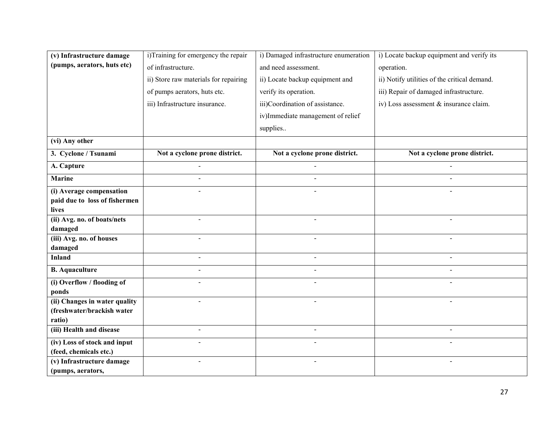| (v) Infrastructure damage              | i)Training for emergency the repair   | i) Damaged infrastructure enumeration | i) Locate backup equipment and verify its    |
|----------------------------------------|---------------------------------------|---------------------------------------|----------------------------------------------|
| (pumps, aerators, huts etc)            | of infrastructure.                    | and need assessment.                  | operation.                                   |
|                                        | ii) Store raw materials for repairing | ii) Locate backup equipment and       | ii) Notify utilities of the critical demand. |
|                                        | of pumps aerators, huts etc.          | verify its operation.                 | iii) Repair of damaged infrastructure.       |
|                                        | iii) Infrastructure insurance.        | iii)Coordination of assistance.       | iv) Loss assessment & insurance claim.       |
|                                        |                                       | iv)Immediate management of relief     |                                              |
|                                        |                                       |                                       |                                              |
|                                        |                                       | supplies                              |                                              |
| (vi) Any other                         |                                       |                                       |                                              |
| 3. Cyclone / Tsunami                   | Not a cyclone prone district.         | Not a cyclone prone district.         | Not a cyclone prone district.                |
| A. Capture                             |                                       |                                       |                                              |
| <b>Marine</b>                          | $\sim$                                | $\blacksquare$                        |                                              |
| (i) Average compensation               |                                       |                                       |                                              |
| paid due to loss of fishermen          |                                       |                                       |                                              |
| lives                                  |                                       |                                       |                                              |
| (ii) Avg. no. of boats/nets<br>damaged |                                       |                                       |                                              |
| (iii) Avg. no. of houses               |                                       |                                       |                                              |
| damaged                                |                                       |                                       |                                              |
| <b>Inland</b>                          | $\sim$                                | $\sim$                                | $\blacksquare$                               |
| <b>B.</b> Aquaculture                  | $\sim$                                |                                       |                                              |
| (i) Overflow / flooding of             |                                       |                                       |                                              |
| ponds                                  |                                       |                                       |                                              |
| (ii) Changes in water quality          |                                       | $\overline{\phantom{0}}$              | $\sim$                                       |
| (freshwater/brackish water             |                                       |                                       |                                              |
| ratio)<br>(iii) Health and disease     | $\overline{a}$                        |                                       |                                              |
|                                        |                                       |                                       |                                              |
| (iv) Loss of stock and input           |                                       |                                       |                                              |
| (feed, chemicals etc.)                 |                                       |                                       |                                              |
| (v) Infrastructure damage              | $\blacksquare$                        | $\blacksquare$                        | $\blacksquare$                               |
| (pumps, aerators,                      |                                       |                                       |                                              |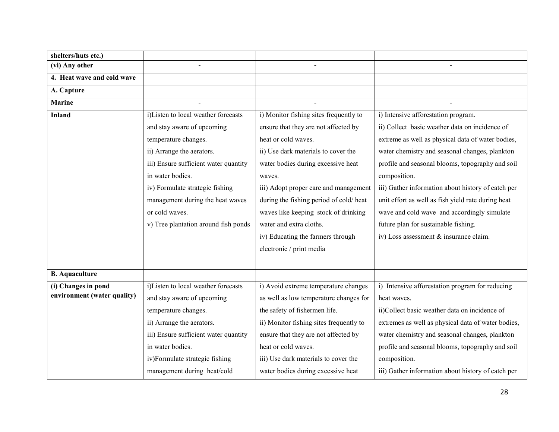| shelters/huts etc.)         |                                       |                                         |                                                    |
|-----------------------------|---------------------------------------|-----------------------------------------|----------------------------------------------------|
| (vi) Any other              |                                       |                                         |                                                    |
| 4. Heat wave and cold wave  |                                       |                                         |                                                    |
| A. Capture                  |                                       |                                         |                                                    |
| <b>Marine</b>               |                                       |                                         |                                                    |
| <b>Inland</b>               | i)Listen to local weather forecasts   | i) Monitor fishing sites frequently to  | i) Intensive afforestation program.                |
|                             | and stay aware of upcoming            | ensure that they are not affected by    | ii) Collect basic weather data on incidence of     |
|                             | temperature changes.                  | heat or cold waves.                     | extreme as well as physical data of water bodies,  |
|                             | ii) Arrange the aerators.             | ii) Use dark materials to cover the     | water chemistry and seasonal changes, plankton     |
|                             | iii) Ensure sufficient water quantity | water bodies during excessive heat      | profile and seasonal blooms, topography and soil   |
|                             | in water bodies.                      | waves.                                  | composition.                                       |
|                             | iv) Formulate strategic fishing       | iii) Adopt proper care and management   | iii) Gather information about history of catch per |
|                             | management during the heat waves      | during the fishing period of cold/heat  | unit effort as well as fish yield rate during heat |
|                             | or cold waves.                        | waves like keeping stock of drinking    | wave and cold wave and accordingly simulate        |
|                             | v) Tree plantation around fish ponds  | water and extra cloths.                 | future plan for sustainable fishing.               |
|                             |                                       | iv) Educating the farmers through       | iv) Loss assessment & insurance claim.             |
|                             |                                       | electronic / print media                |                                                    |
|                             |                                       |                                         |                                                    |
| <b>B.</b> Aquaculture       |                                       |                                         |                                                    |
| (i) Changes in pond         | i)Listen to local weather forecasts   | i) Avoid extreme temperature changes    | i) Intensive afforestation program for reducing    |
| environment (water quality) | and stay aware of upcoming            | as well as low temperature changes for  | heat waves.                                        |
|                             | temperature changes.                  | the safety of fishermen life.           | ii)Collect basic weather data on incidence of      |
|                             | ii) Arrange the aerators.             | ii) Monitor fishing sites frequently to | extremes as well as physical data of water bodies, |
|                             | iii) Ensure sufficient water quantity | ensure that they are not affected by    | water chemistry and seasonal changes, plankton     |
|                             | in water bodies.                      | heat or cold waves.                     | profile and seasonal blooms, topography and soil   |
|                             | iv)Formulate strategic fishing        | iii) Use dark materials to cover the    | composition.                                       |
|                             | management during heat/cold           | water bodies during excessive heat      | iii) Gather information about history of catch per |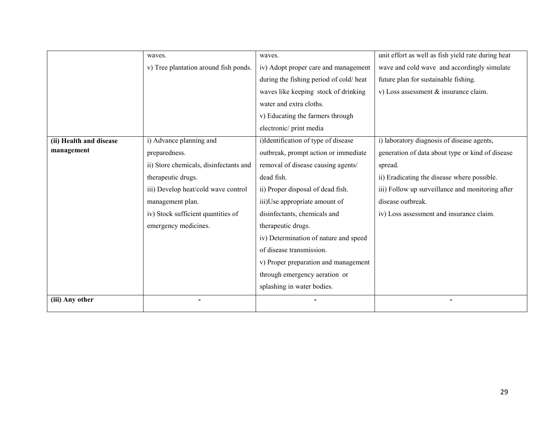|                         | waves.                                 | waves.                                 | unit effort as well as fish yield rate during heat<br>wave and cold wave and accordingly simulate |  |
|-------------------------|----------------------------------------|----------------------------------------|---------------------------------------------------------------------------------------------------|--|
|                         | v) Tree plantation around fish ponds.  | iv) Adopt proper care and management   |                                                                                                   |  |
|                         |                                        | during the fishing period of cold/heat | future plan for sustainable fishing.                                                              |  |
|                         |                                        | waves like keeping stock of drinking   | v) Loss assessment & insurance claim.                                                             |  |
|                         |                                        | water and extra cloths.                |                                                                                                   |  |
|                         |                                        | v) Educating the farmers through       |                                                                                                   |  |
|                         |                                        | electronic/print media                 |                                                                                                   |  |
| (ii) Health and disease | i) Advance planning and                | i)Identification of type of disease    | i) laboratory diagnosis of disease agents,                                                        |  |
| management              | preparedness.                          | outbreak, prompt action or immediate   | generation of data about type or kind of disease                                                  |  |
|                         | ii) Store chemicals, disinfectants and | removal of disease causing agents/     | spread.                                                                                           |  |
|                         | therapeutic drugs.                     | dead fish.                             | ii) Eradicating the disease where possible.                                                       |  |
|                         | iii) Develop heat/cold wave control    | ii) Proper disposal of dead fish.      | iii) Follow up surveillance and monitoring after                                                  |  |
|                         | management plan.                       | iii)Use appropriate amount of          | disease outbreak.                                                                                 |  |
|                         | iv) Stock sufficient quantities of     | disinfectants, chemicals and           | iv) Loss assessment and insurance claim.                                                          |  |
|                         | emergency medicines.                   | therapeutic drugs.                     |                                                                                                   |  |
|                         |                                        | iv) Determination of nature and speed  |                                                                                                   |  |
|                         |                                        | of disease transmission.               |                                                                                                   |  |
|                         |                                        | v) Proper preparation and management   |                                                                                                   |  |
|                         |                                        | through emergency aeration or          |                                                                                                   |  |
|                         |                                        | splashing in water bodies.             |                                                                                                   |  |
| (iii) Any other         |                                        |                                        |                                                                                                   |  |
|                         |                                        |                                        |                                                                                                   |  |